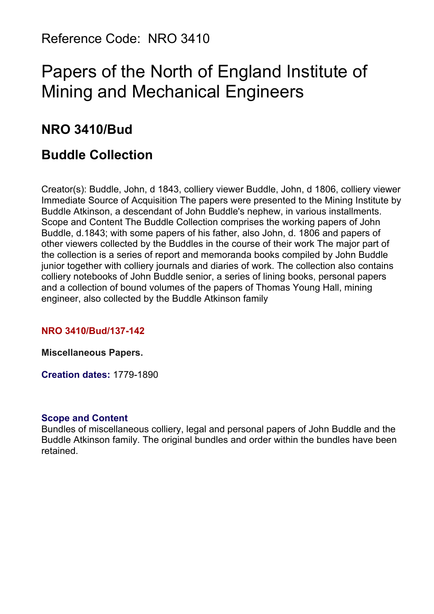Reference Code: NRO 3410

# Papers of the North of England Institute of Mining and Mechanical Engineers

## **NRO 3410/Bud**

## **Buddle Collection**

Creator(s): Buddle, John, d 1843, colliery viewer Buddle, John, d 1806, colliery viewer Immediate Source of Acquisition The papers were presented to the Mining Institute by Buddle Atkinson, a descendant of John Buddle's nephew, in various installments. Scope and Content The Buddle Collection comprises the working papers of John Buddle, d.1843; with some papers of his father, also John, d. 1806 and papers of other viewers collected by the Buddles in the course of their work The major part of the collection is a series of report and memoranda books compiled by John Buddle junior together with colliery journals and diaries of work. The collection also contains colliery notebooks of John Buddle senior, a series of lining books, personal papers and a collection of bound volumes of the papers of Thomas Young Hall, mining engineer, also collected by the Buddle Atkinson family

#### **NRO 3410/Bud/137-142**

#### **Miscellaneous Papers.**

**Creation dates:** 1779-1890

#### **Scope and Content**

Bundles of miscellaneous colliery, legal and personal papers of John Buddle and the Buddle Atkinson family. The original bundles and order within the bundles have been retained.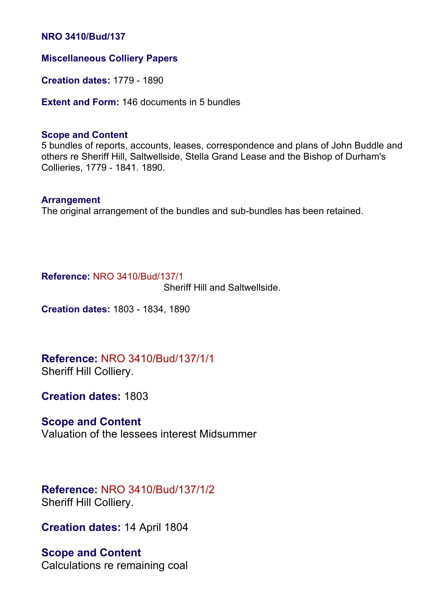#### **NRO 3410/Bud/137**

#### **Miscellaneous Colliery Papers**

**Creation dates:** 1779 - 1890

**Extent and Form:** 146 documents in 5 bundles

#### **Scope and Content**

5 bundles of reports, accounts, leases, correspondence and plans of John Buddle and others re Sheriff Hill, Saltwellside, Stella Grand Lease and the Bishop of Durham's Collieries, 1779 - 1841. 1890.

#### **Arrangement**

The original arrangement of the bundles and sub-bundles has been retained.

#### **Reference:** NRO 3410/Bud/137/1

Sheriff Hill and Saltwellside.

**Creation dates:** 1803 - 1834, 1890

## **Reference:** NRO 3410/Bud/137/1/1

Sheriff Hill Colliery.

**Creation dates:** 1803

#### **Scope and Content**

Valuation of the lessees interest Midsummer

#### **Reference:** NRO 3410/Bud/137/1/2 Sheriff Hill Colliery.

**Creation dates:** 14 April 1804

#### **Scope and Content**

Calculations re remaining coal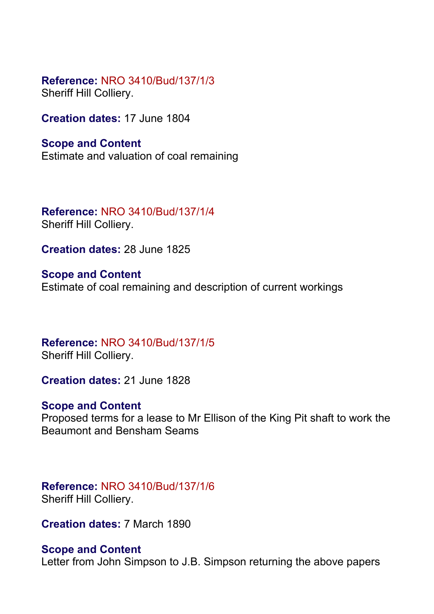**Reference:** NRO 3410/Bud/137/1/3 Sheriff Hill Colliery.

**Creation dates:** 17 June 1804

**Scope and Content** Estimate and valuation of coal remaining

**Reference:** NRO 3410/Bud/137/1/4 Sheriff Hill Colliery.

**Creation dates:** 28 June 1825

**Scope and Content** Estimate of coal remaining and description of current workings

**Reference:** NRO 3410/Bud/137/1/5 Sheriff Hill Colliery.

**Creation dates:** 21 June 1828

### **Scope and Content**

Proposed terms for a lease to Mr Ellison of the King Pit shaft to work the Beaumont and Bensham Seams

**Reference:** NRO 3410/Bud/137/1/6 Sheriff Hill Colliery.

**Creation dates:** 7 March 1890

### **Scope and Content**

Letter from John Simpson to J.B. Simpson returning the above papers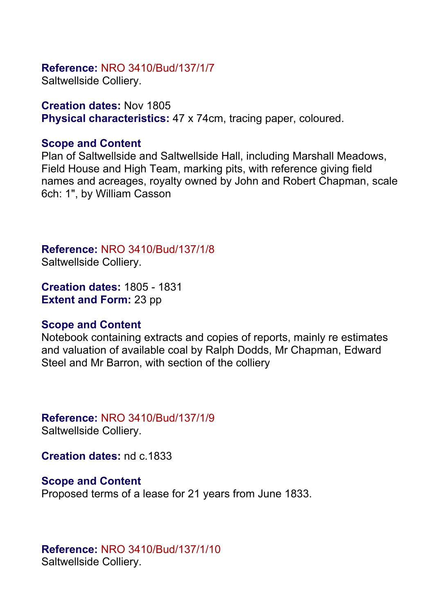### **Reference:** NRO 3410/Bud/137/1/7

Saltwellside Colliery.

**Creation dates:** Nov 1805 **Physical characteristics:** 47 x 74cm, tracing paper, coloured.

#### **Scope and Content**

Plan of Saltwellside and Saltwellside Hall, including Marshall Meadows, Field House and High Team, marking pits, with reference giving field names and acreages, royalty owned by John and Robert Chapman, scale 6ch: 1", by William Casson

**Reference:** NRO 3410/Bud/137/1/8

Saltwellside Colliery.

**Creation dates:** 1805 - 1831 **Extent and Form:** 23 pp

#### **Scope and Content**

Notebook containing extracts and copies of reports, mainly re estimates and valuation of available coal by Ralph Dodds, Mr Chapman, Edward Steel and Mr Barron, with section of the colliery

### **Reference:** NRO 3410/Bud/137/1/9

Saltwellside Colliery.

**Creation dates:** nd c.1833

**Scope and Content** Proposed terms of a lease for 21 years from June 1833.

#### **Reference:** NRO 3410/Bud/137/1/10 Saltwellside Colliery.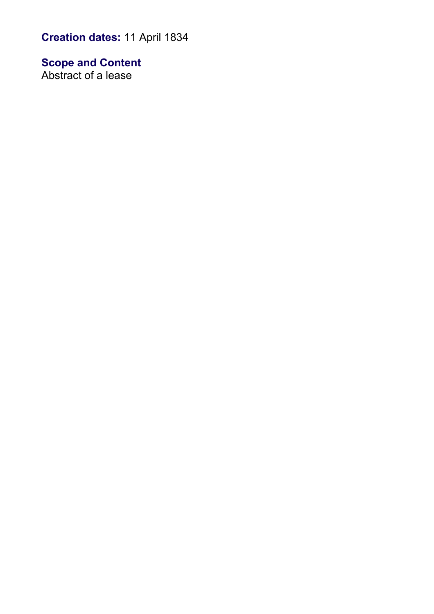**Creation dates:** 11 April 1834

**Scope and Content** Abstract of a lease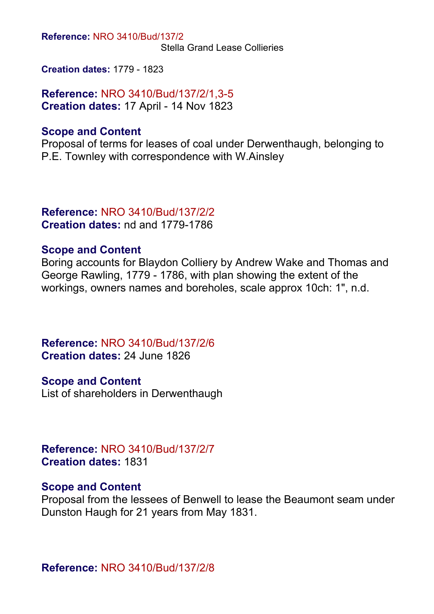**Reference:** NRO 3410/Bud/137/2

Stella Grand Lease Collieries

**Creation dates:** 1779 - 1823

**Reference:** NRO 3410/Bud/137/2/1,3-5 **Creation dates:** 17 April - 14 Nov 1823

#### **Scope and Content**

Proposal of terms for leases of coal under Derwenthaugh, belonging to P.E. Townley with correspondence with W.Ainsley

#### **Reference:** NRO 3410/Bud/137/2/2 **Creation dates:** nd and 1779-1786

### **Scope and Content**

Boring accounts for Blaydon Colliery by Andrew Wake and Thomas and George Rawling, 1779 - 1786, with plan showing the extent of the workings, owners names and boreholes, scale approx 10ch: 1", n.d.

**Reference:** NRO 3410/Bud/137/2/6 **Creation dates:** 24 June 1826

**Scope and Content** List of shareholders in Derwenthaugh

**Reference:** NRO 3410/Bud/137/2/7 **Creation dates:** 1831

#### **Scope and Content**

Proposal from the lessees of Benwell to lease the Beaumont seam under Dunston Haugh for 21 years from May 1831.

**Reference:** NRO 3410/Bud/137/2/8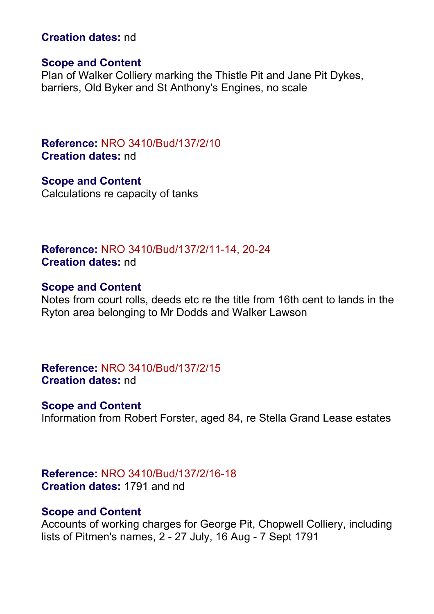#### **Creation dates:** nd

#### **Scope and Content**

Plan of Walker Colliery marking the Thistle Pit and Jane Pit Dykes, barriers, Old Byker and St Anthony's Engines, no scale

**Reference:** NRO 3410/Bud/137/2/10 **Creation dates:** nd

**Scope and Content** Calculations re capacity of tanks

**Reference:** NRO 3410/Bud/137/2/11-14, 20-24 **Creation dates:** nd

#### **Scope and Content**

Notes from court rolls, deeds etc re the title from 16th cent to lands in the Ryton area belonging to Mr Dodds and Walker Lawson

**Reference:** NRO 3410/Bud/137/2/15 **Creation dates:** nd

#### **Scope and Content**

Information from Robert Forster, aged 84, re Stella Grand Lease estates

**Reference:** NRO 3410/Bud/137/2/16-18 **Creation dates:** 1791 and nd

#### **Scope and Content**

Accounts of working charges for George Pit, Chopwell Colliery, including lists of Pitmen's names, 2 - 27 July, 16 Aug - 7 Sept 1791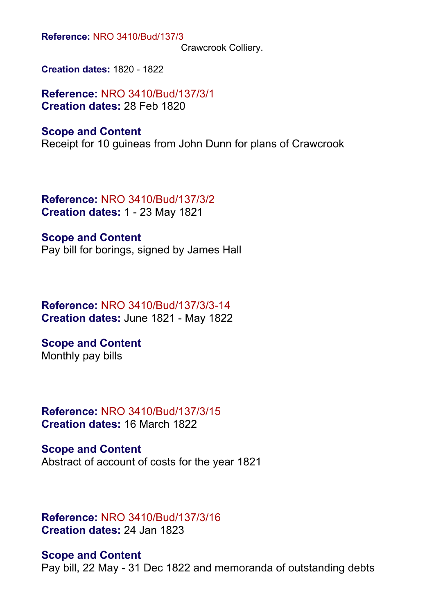**Reference:** NRO 3410/Bud/137/3

Crawcrook Colliery.

**Creation dates:** 1820 - 1822

**Reference:** NRO 3410/Bud/137/3/1 **Creation dates:** 28 Feb 1820

#### **Scope and Content**

Receipt for 10 guineas from John Dunn for plans of Crawcrook

**Reference:** NRO 3410/Bud/137/3/2 **Creation dates:** 1 - 23 May 1821

**Scope and Content** Pay bill for borings, signed by James Hall

**Reference:** NRO 3410/Bud/137/3/3-14 **Creation dates:** June 1821 - May 1822

**Scope and Content** Monthly pay bills

**Reference:** NRO 3410/Bud/137/3/15 **Creation dates:** 16 March 1822

**Scope and Content** Abstract of account of costs for the year 1821

**Reference:** NRO 3410/Bud/137/3/16 **Creation dates:** 24 Jan 1823

**Scope and Content** Pay bill, 22 May - 31 Dec 1822 and memoranda of outstanding debts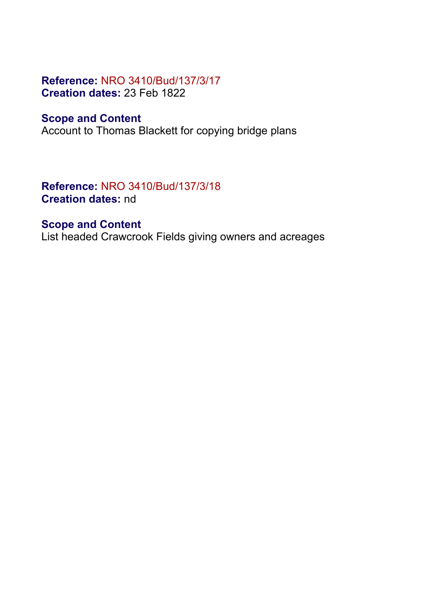### **Reference:** NRO 3410/Bud/137/3/17 **Creation dates:** 23 Feb 1822

### **Scope and Content**

Account to Thomas Blackett for copying bridge plans

### **Reference:** NRO 3410/Bud/137/3/18 **Creation dates:** nd

### **Scope and Content**

List headed Crawcrook Fields giving owners and acreages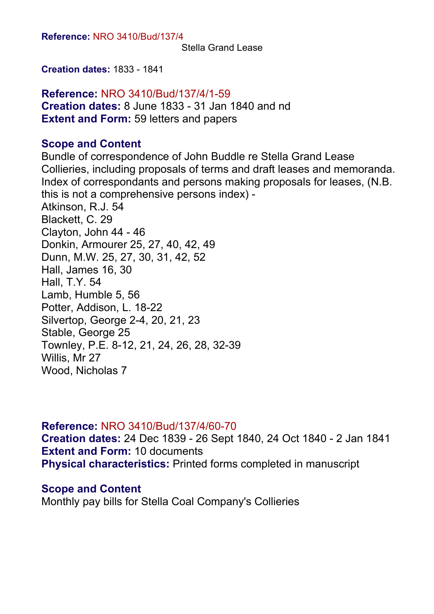Stella Grand Lease

**Creation dates:** 1833 - 1841

**Reference:** NRO 3410/Bud/137/4/1-59 **Creation dates:** 8 June 1833 - 31 Jan 1840 and nd **Extent and Form:** 59 letters and papers

### **Scope and Content**

Bundle of correspondence of John Buddle re Stella Grand Lease Collieries, including proposals of terms and draft leases and memoranda. Index of correspondants and persons making proposals for leases, (N.B. this is not a comprehensive persons index) - Atkinson, R.J. 54 Blackett, C. 29 Clayton, John 44 - 46 Donkin, Armourer 25, 27, 40, 42, 49 Dunn, M.W. 25, 27, 30, 31, 42, 52 Hall, James 16, 30 Hall, T.Y. 54 Lamb, Humble 5, 56 Potter, Addison, L. 18-22 Silvertop, George 2-4, 20, 21, 23 Stable, George 25 Townley, P.E. 8-12, 21, 24, 26, 28, 32-39 Willis, Mr 27 Wood, Nicholas 7

#### **Reference:** NRO 3410/Bud/137/4/60-70

**Creation dates:** 24 Dec 1839 - 26 Sept 1840, 24 Oct 1840 - 2 Jan 1841 **Extent and Form:** 10 documents **Physical characteristics:** Printed forms completed in manuscript

### **Scope and Content**

Monthly pay bills for Stella Coal Company's Collieries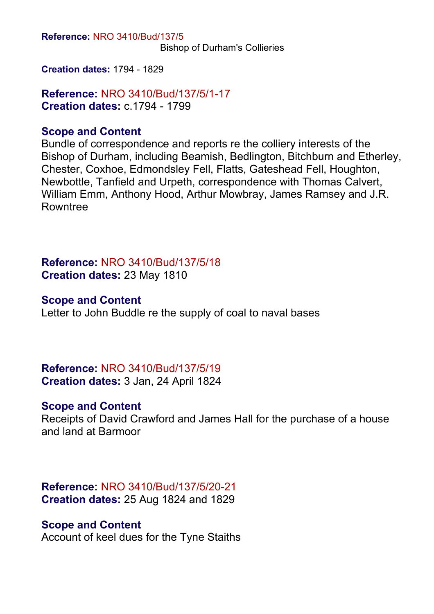**Reference:** NRO 3410/Bud/137/5

Bishop of Durham's Collieries

**Creation dates:** 1794 - 1829

**Reference:** NRO 3410/Bud/137/5/1-17 **Creation dates:** c.1794 - 1799

### **Scope and Content**

Bundle of correspondence and reports re the colliery interests of the Bishop of Durham, including Beamish, Bedlington, Bitchburn and Etherley, Chester, Coxhoe, Edmondsley Fell, Flatts, Gateshead Fell, Houghton, Newbottle, Tanfield and Urpeth, correspondence with Thomas Calvert, William Emm, Anthony Hood, Arthur Mowbray, James Ramsey and J.R. Rowntree

**Reference:** NRO 3410/Bud/137/5/18 **Creation dates:** 23 May 1810

### **Scope and Content**

Letter to John Buddle re the supply of coal to naval bases

**Reference:** NRO 3410/Bud/137/5/19 **Creation dates:** 3 Jan, 24 April 1824

### **Scope and Content**

Receipts of David Crawford and James Hall for the purchase of a house and land at Barmoor

**Reference:** NRO 3410/Bud/137/5/20-21 **Creation dates:** 25 Aug 1824 and 1829

#### **Scope and Content**

Account of keel dues for the Tyne Staiths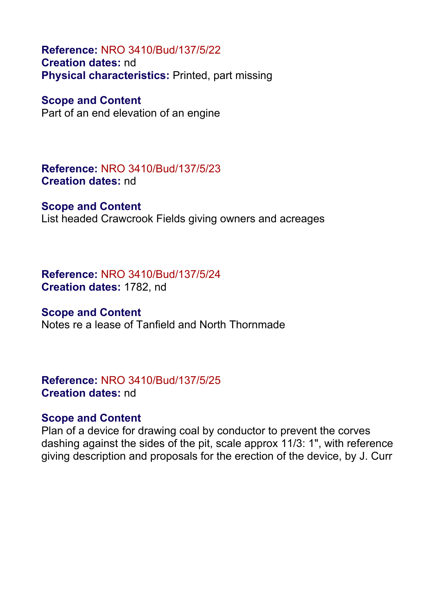**Reference:** NRO 3410/Bud/137/5/22 **Creation dates:** nd **Physical characteristics:** Printed, part missing

**Scope and Content** Part of an end elevation of an engine

**Reference:** NRO 3410/Bud/137/5/23 **Creation dates:** nd

#### **Scope and Content**

List headed Crawcrook Fields giving owners and acreages

**Reference:** NRO 3410/Bud/137/5/24 **Creation dates:** 1782, nd

#### **Scope and Content**

Notes re a lease of Tanfield and North Thornmade

**Reference:** NRO 3410/Bud/137/5/25 **Creation dates:** nd

### **Scope and Content**

Plan of a device for drawing coal by conductor to prevent the corves dashing against the sides of the pit, scale approx 11/3: 1", with reference giving description and proposals for the erection of the device, by J. Curr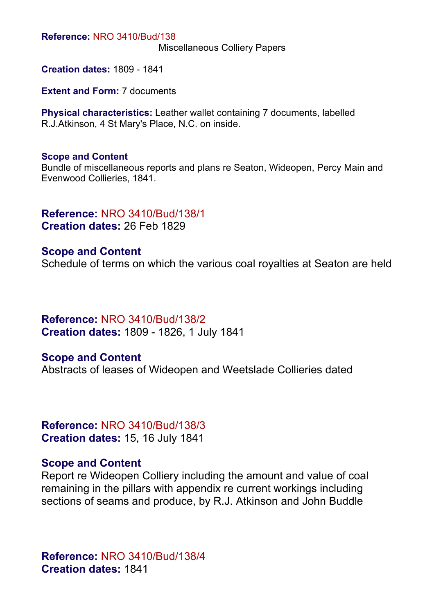#### **Reference:** NRO 3410/Bud/138

Miscellaneous Colliery Papers

**Creation dates:** 1809 - 1841

**Extent and Form: 7 documents** 

**Physical characteristics:** Leather wallet containing 7 documents, labelled R.J.Atkinson, 4 St Mary's Place, N.C. on inside.

#### **Scope and Content**

Bundle of miscellaneous reports and plans re Seaton, Wideopen, Percy Main and Evenwood Collieries, 1841.

## **Reference:** NRO 3410/Bud/138/1

**Creation dates:** 26 Feb 1829

#### **Scope and Content**

Schedule of terms on which the various coal royalties at Seaton are held

**Reference:** NRO 3410/Bud/138/2 **Creation dates:** 1809 - 1826, 1 July 1841

#### **Scope and Content**

Abstracts of leases of Wideopen and Weetslade Collieries dated

**Reference:** NRO 3410/Bud/138/3 **Creation dates:** 15, 16 July 1841

#### **Scope and Content**

Report re Wideopen Colliery including the amount and value of coal remaining in the pillars with appendix re current workings including sections of seams and produce, by R.J. Atkinson and John Buddle

**Reference:** NRO 3410/Bud/138/4 **Creation dates:** 1841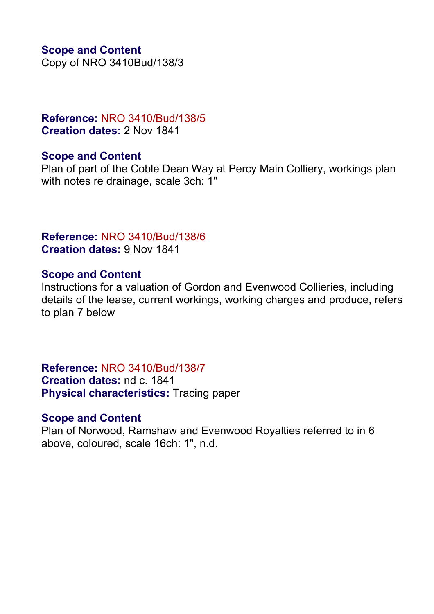### **Scope and Content**

Copy of NRO 3410Bud/138/3

### **Reference:** NRO 3410/Bud/138/5 **Creation dates:** 2 Nov 1841

### **Scope and Content**

Plan of part of the Coble Dean Way at Percy Main Colliery, workings plan with notes re drainage, scale 3ch: 1"

### **Reference:** NRO 3410/Bud/138/6 **Creation dates:** 9 Nov 1841

### **Scope and Content**

Instructions for a valuation of Gordon and Evenwood Collieries, including details of the lease, current workings, working charges and produce, refers to plan 7 below

**Reference:** NRO 3410/Bud/138/7 **Creation dates:** nd c. 1841 **Physical characteristics:** Tracing paper

### **Scope and Content**

Plan of Norwood, Ramshaw and Evenwood Royalties referred to in 6 above, coloured, scale 16ch: 1", n.d.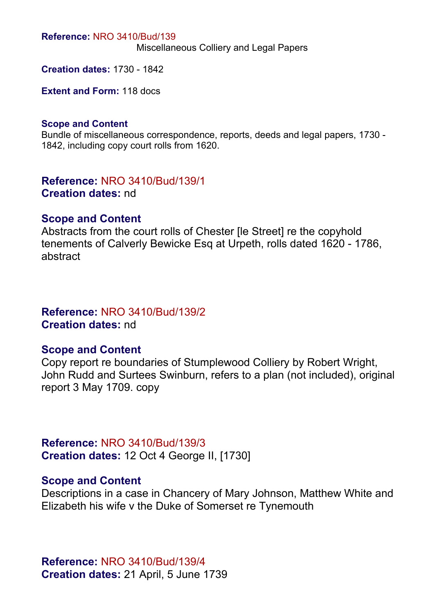#### **Reference:** NRO 3410/Bud/139

Miscellaneous Colliery and Legal Papers

**Creation dates:** 1730 - 1842

**Extent and Form:** 118 docs

#### **Scope and Content**

Bundle of miscellaneous correspondence, reports, deeds and legal papers, 1730 - 1842, including copy court rolls from 1620.

**Reference:** NRO 3410/Bud/139/1 **Creation dates:** nd

#### **Scope and Content**

Abstracts from the court rolls of Chester [le Street] re the copyhold tenements of Calverly Bewicke Esq at Urpeth, rolls dated 1620 - 1786, abstract

#### **Reference:** NRO 3410/Bud/139/2 **Creation dates:** nd

#### **Scope and Content**

Copy report re boundaries of Stumplewood Colliery by Robert Wright, John Rudd and Surtees Swinburn, refers to a plan (not included), original report 3 May 1709. copy

**Reference:** NRO 3410/Bud/139/3 **Creation dates:** 12 Oct 4 George II, [1730]

#### **Scope and Content**

Descriptions in a case in Chancery of Mary Johnson, Matthew White and Elizabeth his wife v the Duke of Somerset re Tynemouth

**Reference:** NRO 3410/Bud/139/4 **Creation dates:** 21 April, 5 June 1739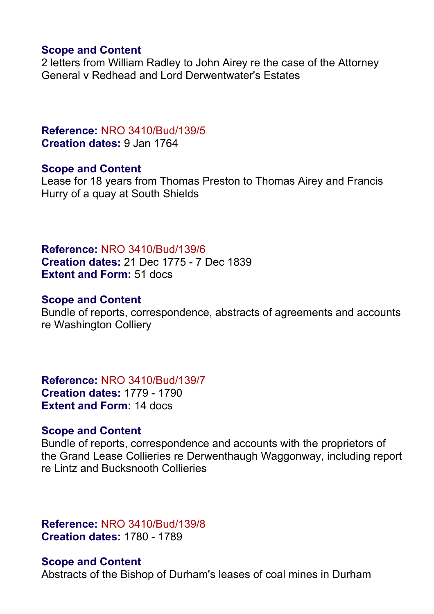#### **Scope and Content**

2 letters from William Radley to John Airey re the case of the Attorney General v Redhead and Lord Derwentwater's Estates

### **Reference:** NRO 3410/Bud/139/5 **Creation dates:** 9 Jan 1764

#### **Scope and Content**

Lease for 18 years from Thomas Preston to Thomas Airey and Francis Hurry of a quay at South Shields

**Reference:** NRO 3410/Bud/139/6 **Creation dates:** 21 Dec 1775 - 7 Dec 1839 **Extent and Form:** 51 docs

#### **Scope and Content**

Bundle of reports, correspondence, abstracts of agreements and accounts re Washington Colliery

**Reference:** NRO 3410/Bud/139/7 **Creation dates:** 1779 - 1790 **Extent and Form:** 14 docs

### **Scope and Content**

Bundle of reports, correspondence and accounts with the proprietors of the Grand Lease Collieries re Derwenthaugh Waggonway, including report re Lintz and Bucksnooth Collieries

**Reference:** NRO 3410/Bud/139/8 **Creation dates:** 1780 - 1789

### **Scope and Content**

Abstracts of the Bishop of Durham's leases of coal mines in Durham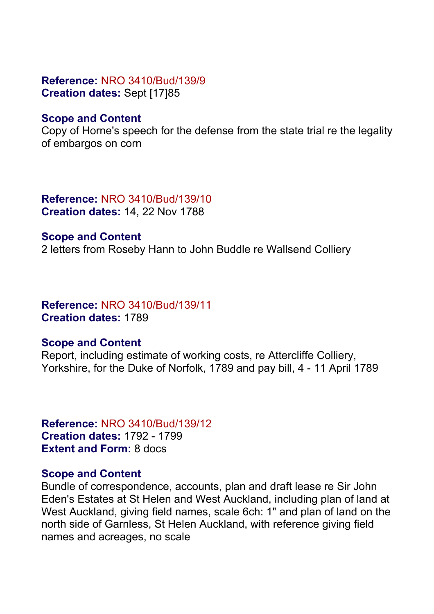### **Reference:** NRO 3410/Bud/139/9 **Creation dates:** Sept [17]85

### **Scope and Content**

Copy of Horne's speech for the defense from the state trial re the legality of embargos on corn

**Reference:** NRO 3410/Bud/139/10 **Creation dates:** 14, 22 Nov 1788

#### **Scope and Content**

2 letters from Roseby Hann to John Buddle re Wallsend Colliery

### **Reference:** NRO 3410/Bud/139/11 **Creation dates:** 1789

### **Scope and Content**

Report, including estimate of working costs, re Attercliffe Colliery, Yorkshire, for the Duke of Norfolk, 1789 and pay bill, 4 - 11 April 1789

**Reference:** NRO 3410/Bud/139/12 **Creation dates:** 1792 - 1799 **Extent and Form:** 8 docs

### **Scope and Content**

Bundle of correspondence, accounts, plan and draft lease re Sir John Eden's Estates at St Helen and West Auckland, including plan of land at West Auckland, giving field names, scale 6ch: 1" and plan of land on the north side of Garnless, St Helen Auckland, with reference giving field names and acreages, no scale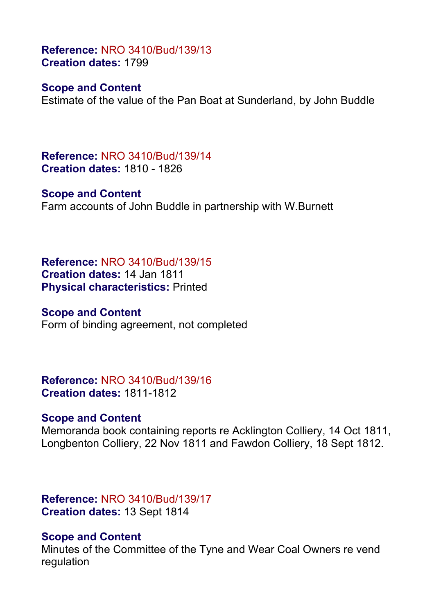**Reference:** NRO 3410/Bud/139/13 **Creation dates:** 1799

### **Scope and Content**

Estimate of the value of the Pan Boat at Sunderland, by John Buddle

**Reference:** NRO 3410/Bud/139/14 **Creation dates:** 1810 - 1826

**Scope and Content** Farm accounts of John Buddle in partnership with W.Burnett

**Reference:** NRO 3410/Bud/139/15 **Creation dates:** 14 Jan 1811 **Physical characteristics:** Printed

**Scope and Content** Form of binding agreement, not completed

**Reference:** NRO 3410/Bud/139/16 **Creation dates:** 1811-1812

#### **Scope and Content**

Memoranda book containing reports re Acklington Colliery, 14 Oct 1811, Longbenton Colliery, 22 Nov 1811 and Fawdon Colliery, 18 Sept 1812.

**Reference:** NRO 3410/Bud/139/17 **Creation dates:** 13 Sept 1814

### **Scope and Content**

Minutes of the Committee of the Tyne and Wear Coal Owners re vend regulation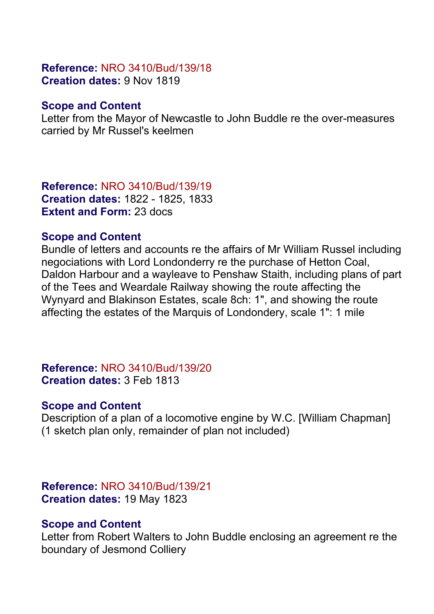### **Reference:** NRO 3410/Bud/139/18 **Creation dates:** 9 Nov 1819

### **Scope and Content**

Letter from the Mayor of Newcastle to John Buddle re the over-measures carried by Mr Russel's keelmen

**Reference:** NRO 3410/Bud/139/19 **Creation dates:** 1822 - 1825, 1833 **Extent and Form:** 23 docs

### **Scope and Content**

Bundle of letters and accounts re the affairs of Mr William Russel including negociations with Lord Londonderry re the purchase of Hetton Coal, Daldon Harbour and a wayleave to Penshaw Staith, including plans of part of the Tees and Weardale Railway showing the route affecting the Wynyard and Blakinson Estates, scale 8ch: 1", and showing the route affecting the estates of the Marquis of Londondery, scale 1": 1 mile

**Reference:** NRO 3410/Bud/139/20 **Creation dates:** 3 Feb 1813

### **Scope and Content**

Description of a plan of a locomotive engine by W.C. [William Chapman] (1 sketch plan only, remainder of plan not included)

**Reference:** NRO 3410/Bud/139/21 **Creation dates:** 19 May 1823

### **Scope and Content**

Letter from Robert Walters to John Buddle enclosing an agreement re the boundary of Jesmond Colliery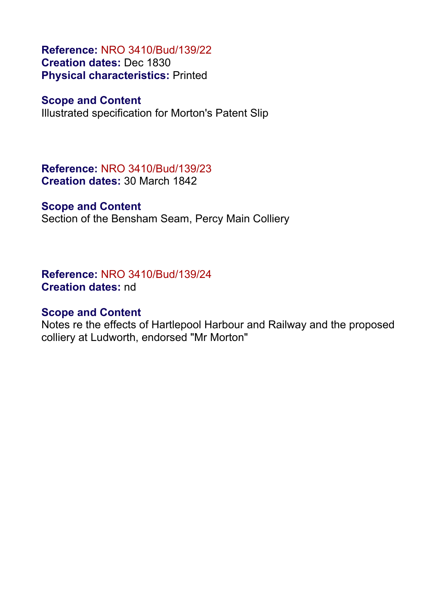**Reference:** NRO 3410/Bud/139/22 **Creation dates:** Dec 1830 **Physical characteristics:** Printed

#### **Scope and Content**

Illustrated specification for Morton's Patent Slip

**Reference:** NRO 3410/Bud/139/23 **Creation dates:** 30 March 1842

### **Scope and Content**

Section of the Bensham Seam, Percy Main Colliery

**Reference:** NRO 3410/Bud/139/24 **Creation dates:** nd

#### **Scope and Content**

Notes re the effects of Hartlepool Harbour and Railway and the proposed colliery at Ludworth, endorsed "Mr Morton"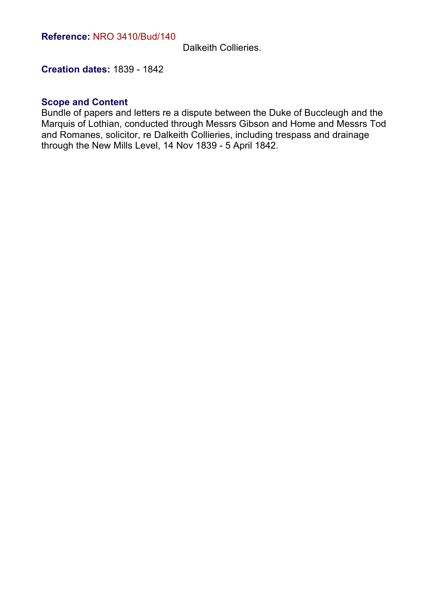Dalkeith Collieries.

**Creation dates:** 1839 - 1842

#### **Scope and Content**

Bundle of papers and letters re a dispute between the Duke of Buccleugh and the Marquis of Lothian, conducted through Messrs Gibson and Home and Messrs Tod and Romanes, solicitor, re Dalkeith Collieries, including trespass and drainage through the New Mills Level, 14 Nov 1839 - 5 April 1842.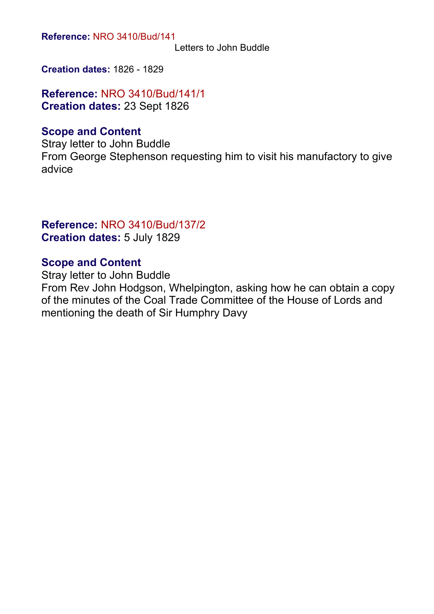**Reference:** NRO 3410/Bud/141

Letters to John Buddle

**Creation dates:** 1826 - 1829

**Reference:** NRO 3410/Bud/141/1 **Creation dates:** 23 Sept 1826

### **Scope and Content**

Stray letter to John Buddle From George Stephenson requesting him to visit his manufactory to give advice

#### **Reference:** NRO 3410/Bud/137/2 **Creation dates:** 5 July 1829

### **Scope and Content**

Stray letter to John Buddle From Rev John Hodgson, Whelpington, asking how he can obtain a copy of the minutes of the Coal Trade Committee of the House of Lords and mentioning the death of Sir Humphry Davy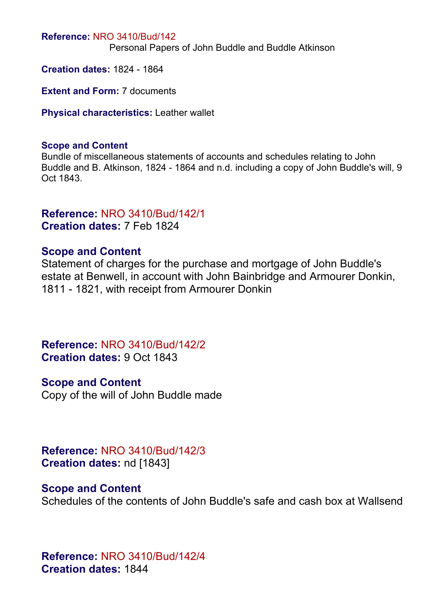#### **Reference:** NRO 3410/Bud/142

Personal Papers of John Buddle and Buddle Atkinson

**Creation dates:** 1824 - 1864

**Extent and Form: 7 documents** 

**Physical characteristics:** Leather wallet

#### **Scope and Content**

Bundle of miscellaneous statements of accounts and schedules relating to John Buddle and B. Atkinson, 1824 - 1864 and n.d. including a copy of John Buddle's will, 9 Oct 1843.

## **Reference:** NRO 3410/Bud/142/1

**Creation dates:** 7 Feb 1824

### **Scope and Content**

Statement of charges for the purchase and mortgage of John Buddle's estate at Benwell, in account with John Bainbridge and Armourer Donkin, 1811 - 1821, with receipt from Armourer Donkin

**Reference:** NRO 3410/Bud/142/2 **Creation dates:** 9 Oct 1843

#### **Scope and Content**

Copy of the will of John Buddle made

**Reference:** NRO 3410/Bud/142/3 **Creation dates:** nd [1843]

### **Scope and Content**

Schedules of the contents of John Buddle's safe and cash box at Wallsend

**Reference:** NRO 3410/Bud/142/4 **Creation dates:** 1844